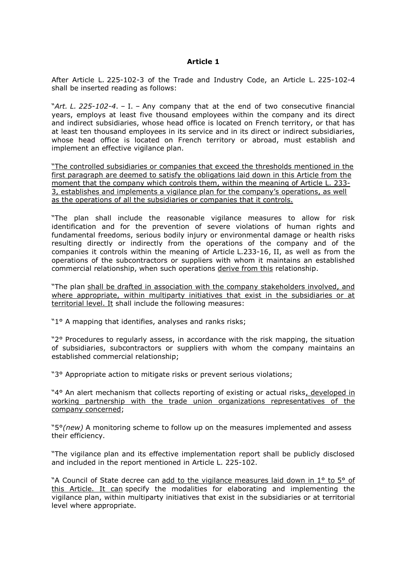## **Article 1**

After Article L. 225-102-3 of the Trade and Industry Code, an Article L. 225-102-4 shall be inserted reading as follows:

"*Art. L. 225-102-4*. – I. – Any company that at the end of two consecutive financial years, employs at least five thousand employees within the company and its direct and indirect subsidiaries, whose head office is located on French territory, or that has at least ten thousand employees in its service and in its direct or indirect subsidiaries, whose head office is located on French territory or abroad, must establish and implement an effective vigilance plan.

"The controlled subsidiaries or companies that exceed the thresholds mentioned in the first paragraph are deemed to satisfy the obligations laid down in this Article from the moment that the company which controls them, within the meaning of Article L. 233- 3, establishes and implements a vigilance plan for the company's operations, as well as the operations of all the subsidiaries or companies that it controls.

"The plan shall include the reasonable vigilance measures to allow for risk identification and for the prevention of severe violations of human rights and fundamental freedoms, serious bodily injury or environmental damage or health risks resulting directly or indirectly from the operations of the company and of the companies it controls within the meaning of Article L.233-16, II, as well as from the operations of the subcontractors or suppliers with whom it maintains an established commercial relationship, when such operations derive from this relationship.

"The plan shall be drafted in association with the company stakeholders involved, and where appropriate, within multiparty initiatives that exist in the subsidiaries or at territorial level. It shall include the following measures:

"1° A mapping that identifies, analyses and ranks risks;

"2° Procedures to regularly assess, in accordance with the risk mapping, the situation of subsidiaries, subcontractors or suppliers with whom the company maintains an established commercial relationship;

"3° Appropriate action to mitigate risks or prevent serious violations;

"4° An alert mechanism that collects reporting of existing or actual risks, developed in working partnership with the trade union organizations representatives of the company concerned;

"5°*(new)* A monitoring scheme to follow up on the measures implemented and assess their efficiency.

"The vigilance plan and its effective implementation report shall be publicly disclosed and included in the report mentioned in Article L. 225-102.

"A Council of State decree can add to the vigilance measures laid down in 1° to 5° of this Article. It can specify the modalities for elaborating and implementing the vigilance plan, within multiparty initiatives that exist in the subsidiaries or at territorial level where appropriate.